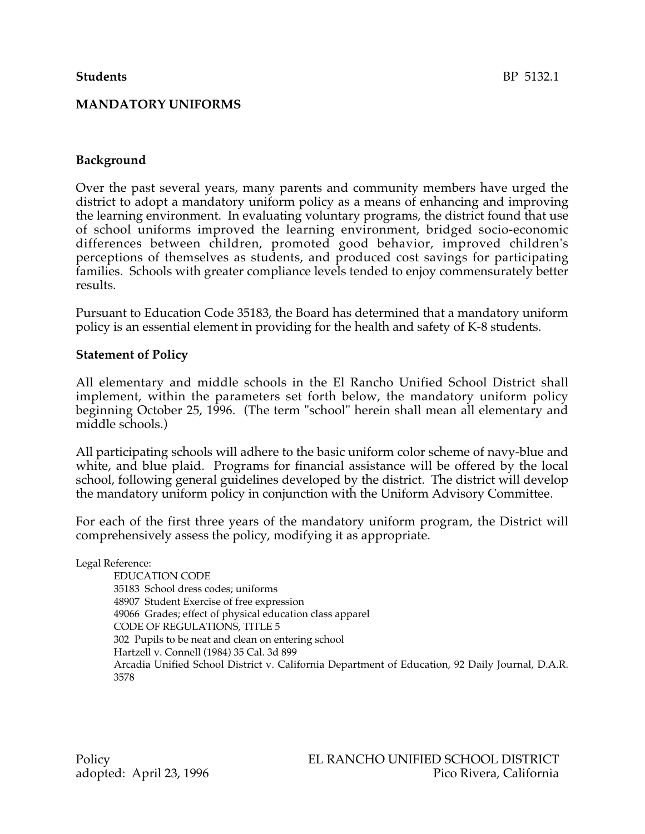## **MANDATORY UNIFORMS**

#### **Background**

Over the past several years, many parents and community members have urged the district to adopt a mandatory uniform policy as a means of enhancing and improving the learning environment. In evaluating voluntary programs, the district found that use of school uniforms improved the learning environment, bridged socio-economic differences between children, promoted good behavior, improved children's perceptions of themselves as students, and produced cost savings for participating families. Schools with greater compliance levels tended to enjoy commensurately better results.

Pursuant to Education Code 35183, the Board has determined that a mandatory uniform policy is an essential element in providing for the health and safety of K-8 students.

#### **Statement of Policy**

All elementary and middle schools in the El Rancho Unified School District shall implement, within the parameters set forth below, the mandatory uniform policy beginning October 25, 1996. (The term "school" herein shall mean all elementary and middle schools.)

All participating schools will adhere to the basic uniform color scheme of navy-blue and white, and blue plaid. Programs for financial assistance will be offered by the local school, following general guidelines developed by the district. The district will develop the mandatory uniform policy in conjunction with the Uniform Advisory Committee.

For each of the first three years of the mandatory uniform program, the District will comprehensively assess the policy, modifying it as appropriate.

Legal Reference:

EDUCATION CODE 35183 School dress codes; uniforms 48907 Student Exercise of free expression 49066 Grades; effect of physical education class apparel CODE OF REGULATIONS, TITLE 5 302 Pupils to be neat and clean on entering school Hartzell v. Connell (1984) 35 Cal. 3d 899 Arcadia Unified School District v. California Department of Education, 92 Daily Journal, D.A.R. 3578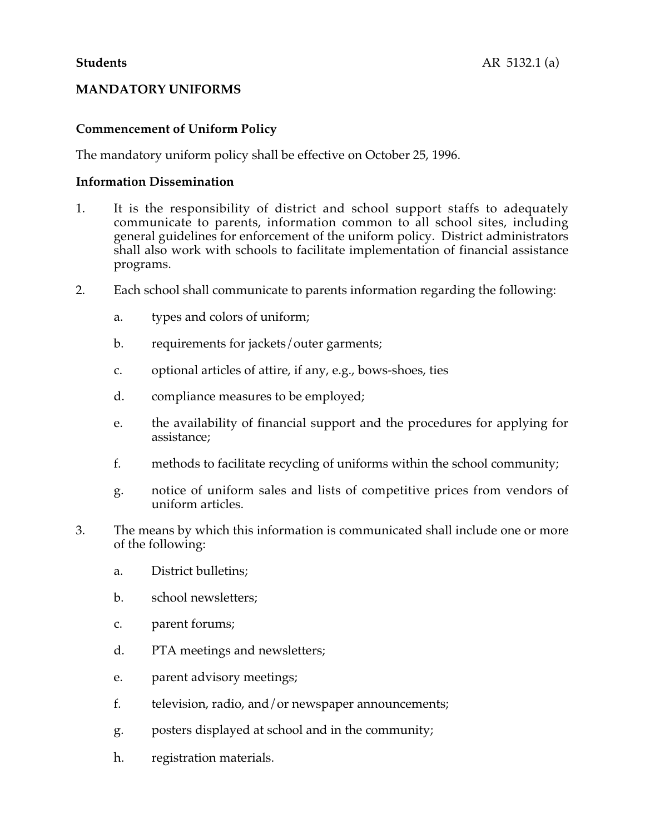# **MANDATORY UNIFORMS**

# **Commencement of Uniform Policy**

The mandatory uniform policy shall be effective on October 25, 1996.

#### **Information Dissemination**

- 1. It is the responsibility of district and school support staffs to adequately communicate to parents, information common to all school sites, including general guidelines for enforcement of the uniform policy. District administrators shall also work with schools to facilitate implementation of financial assistance programs.
- 2. Each school shall communicate to parents information regarding the following:
	- a. types and colors of uniform;
	- b. requirements for jackets/outer garments;
	- c. optional articles of attire, if any, e.g., bows-shoes, ties
	- d. compliance measures to be employed;
	- e. the availability of financial support and the procedures for applying for assistance;
	- f. methods to facilitate recycling of uniforms within the school community;
	- g. notice of uniform sales and lists of competitive prices from vendors of uniform articles.
- 3. The means by which this information is communicated shall include one or more of the following:
	- a. District bulletins;
	- b. school newsletters;
	- c. parent forums;
	- d. PTA meetings and newsletters;
	- e. parent advisory meetings;
	- f. television, radio, and/or newspaper announcements;
	- g. posters displayed at school and in the community;
	- h. registration materials.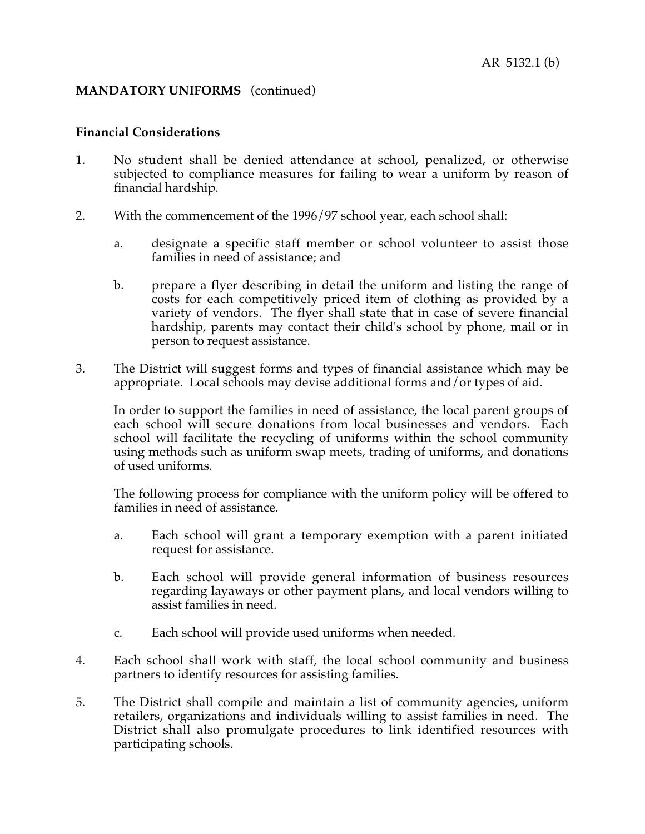#### **Financial Considerations**

- 1. No student shall be denied attendance at school, penalized, or otherwise subjected to compliance measures for failing to wear a uniform by reason of financial hardship.
- 2. With the commencement of the 1996/97 school year, each school shall:
	- a. designate a specific staff member or school volunteer to assist those families in need of assistance; and
	- b. prepare a flyer describing in detail the uniform and listing the range of costs for each competitively priced item of clothing as provided by a variety of vendors. The flyer shall state that in case of severe financial hardship, parents may contact their child's school by phone, mail or in person to request assistance.
- 3. The District will suggest forms and types of financial assistance which may be appropriate. Local schools may devise additional forms and/or types of aid.

In order to support the families in need of assistance, the local parent groups of each school will secure donations from local businesses and vendors. Each school will facilitate the recycling of uniforms within the school community using methods such as uniform swap meets, trading of uniforms, and donations of used uniforms.

The following process for compliance with the uniform policy will be offered to families in need of assistance.

- a. Each school will grant a temporary exemption with a parent initiated request for assistance.
- b. Each school will provide general information of business resources regarding layaways or other payment plans, and local vendors willing to assist families in need.
- c. Each school will provide used uniforms when needed.
- 4. Each school shall work with staff, the local school community and business partners to identify resources for assisting families.
- 5. The District shall compile and maintain a list of community agencies, uniform retailers, organizations and individuals willing to assist families in need. The District shall also promulgate procedures to link identified resources with participating schools.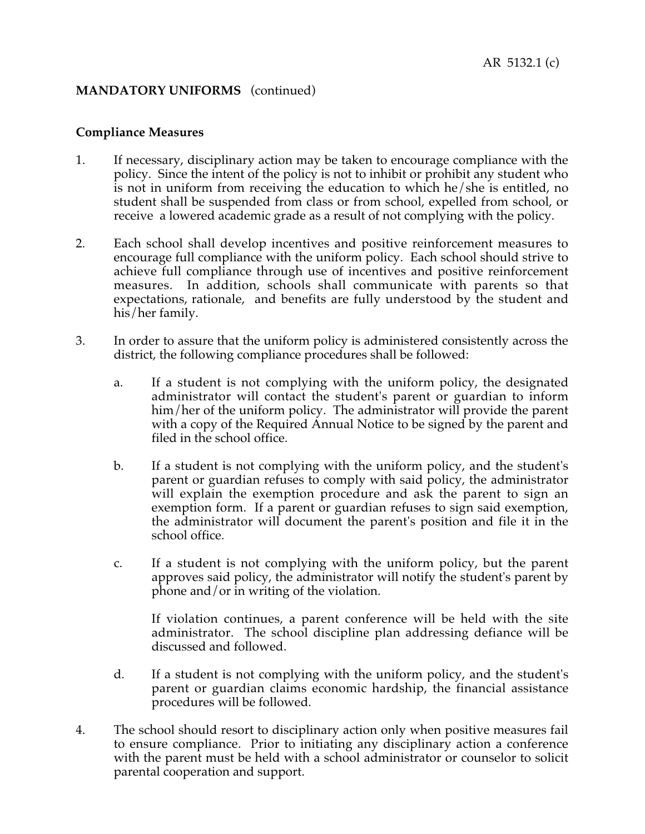#### **Compliance Measures**

- 1. If necessary, disciplinary action may be taken to encourage compliance with the policy. Since the intent of the policy is not to inhibit or prohibit any student who is not in uniform from receiving the education to which he/she is entitled, no student shall be suspended from class or from school, expelled from school, or receive a lowered academic grade as a result of not complying with the policy.
- 2. Each school shall develop incentives and positive reinforcement measures to encourage full compliance with the uniform policy. Each school should strive to achieve full compliance through use of incentives and positive reinforcement measures. In addition, schools shall communicate with parents so that expectations, rationale, and benefits are fully understood by the student and his/her family.
- 3. In order to assure that the uniform policy is administered consistently across the district, the following compliance procedures shall be followed:
	- a. If a student is not complying with the uniform policy, the designated administrator will contact the student's parent or guardian to inform him/her of the uniform policy. The administrator will provide the parent with a copy of the Required Annual Notice to be signed by the parent and filed in the school office.
	- b. If a student is not complying with the uniform policy, and the student's parent or guardian refuses to comply with said policy, the administrator will explain the exemption procedure and ask the parent to sign an exemption form. If a parent or guardian refuses to sign said exemption, the administrator will document the parent's position and file it in the school office.
	- c. If a student is not complying with the uniform policy, but the parent approves said policy, the administrator will notify the student's parent by phone and/or in writing of the violation.

If violation continues, a parent conference will be held with the site administrator. The school discipline plan addressing defiance will be discussed and followed.

- d. If a student is not complying with the uniform policy, and the student's parent or guardian claims economic hardship, the financial assistance procedures will be followed.
- 4. The school should resort to disciplinary action only when positive measures fail to ensure compliance. Prior to initiating any disciplinary action a conference with the parent must be held with a school administrator or counselor to solicit parental cooperation and support.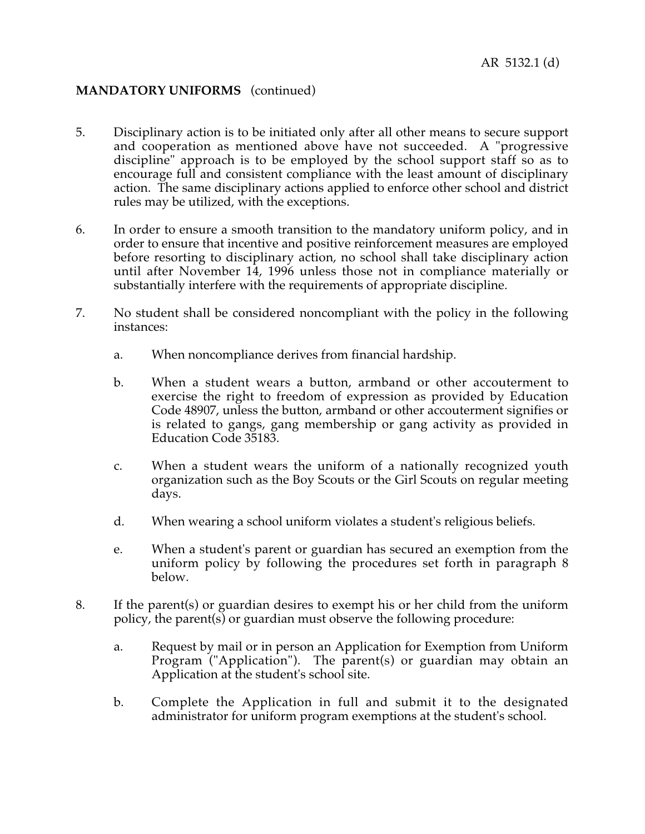- 5. Disciplinary action is to be initiated only after all other means to secure support and cooperation as mentioned above have not succeeded. A "progressive discipline" approach is to be employed by the school support staff so as to encourage full and consistent compliance with the least amount of disciplinary action. The same disciplinary actions applied to enforce other school and district rules may be utilized, with the exceptions.
- 6. In order to ensure a smooth transition to the mandatory uniform policy, and in order to ensure that incentive and positive reinforcement measures are employed before resorting to disciplinary action, no school shall take disciplinary action until after November 14, 1996 unless those not in compliance materially or substantially interfere with the requirements of appropriate discipline.
- 7. No student shall be considered noncompliant with the policy in the following instances:
	- a. When noncompliance derives from financial hardship.
	- b. When a student wears a button, armband or other accouterment to exercise the right to freedom of expression as provided by Education Code 48907, unless the button, armband or other accouterment signifies or is related to gangs, gang membership or gang activity as provided in Education Code 35183.
	- c. When a student wears the uniform of a nationally recognized youth organization such as the Boy Scouts or the Girl Scouts on regular meeting days.
	- d. When wearing a school uniform violates a student's religious beliefs.
	- e. When a student's parent or guardian has secured an exemption from the uniform policy by following the procedures set forth in paragraph 8 below.
- 8. If the parent(s) or guardian desires to exempt his or her child from the uniform policy, the parent(s) or guardian must observe the following procedure:
	- a. Request by mail or in person an Application for Exemption from Uniform Program ("Application"). The parent(s) or guardian may obtain an Application at the student's school site.
	- b. Complete the Application in full and submit it to the designated administrator for uniform program exemptions at the student's school.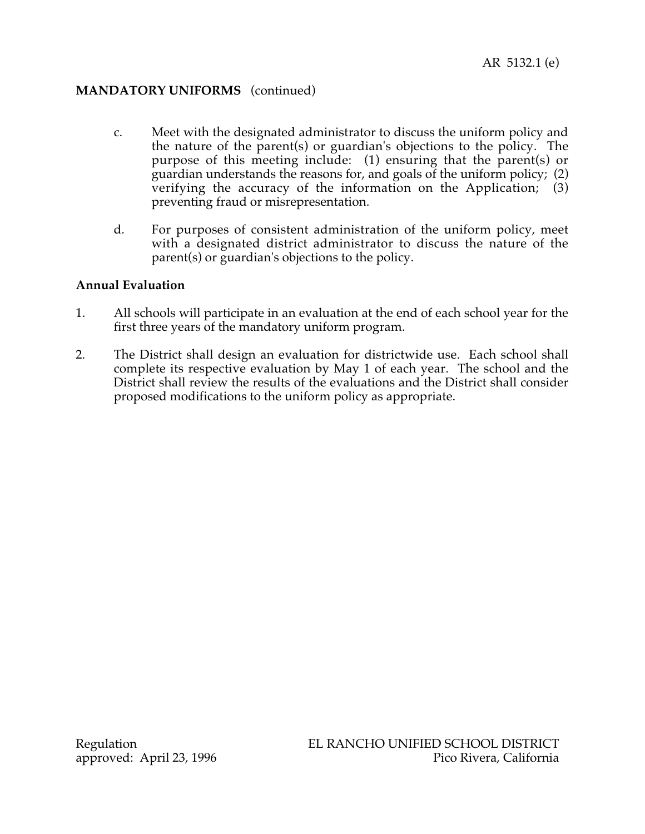- c. Meet with the designated administrator to discuss the uniform policy and the nature of the parent(s) or guardian's objections to the policy. The purpose of this meeting include: (1) ensuring that the parent(s) or guardian understands the reasons for, and goals of the uniform policy; (2) verifying the accuracy of the information on the Application; (3) preventing fraud or misrepresentation.
- d. For purposes of consistent administration of the uniform policy, meet with a designated district administrator to discuss the nature of the parent(s) or guardian's objections to the policy.

## **Annual Evaluation**

- 1. All schools will participate in an evaluation at the end of each school year for the first three years of the mandatory uniform program.
- 2. The District shall design an evaluation for districtwide use. Each school shall complete its respective evaluation by May 1 of each year. The school and the District shall review the results of the evaluations and the District shall consider proposed modifications to the uniform policy as appropriate.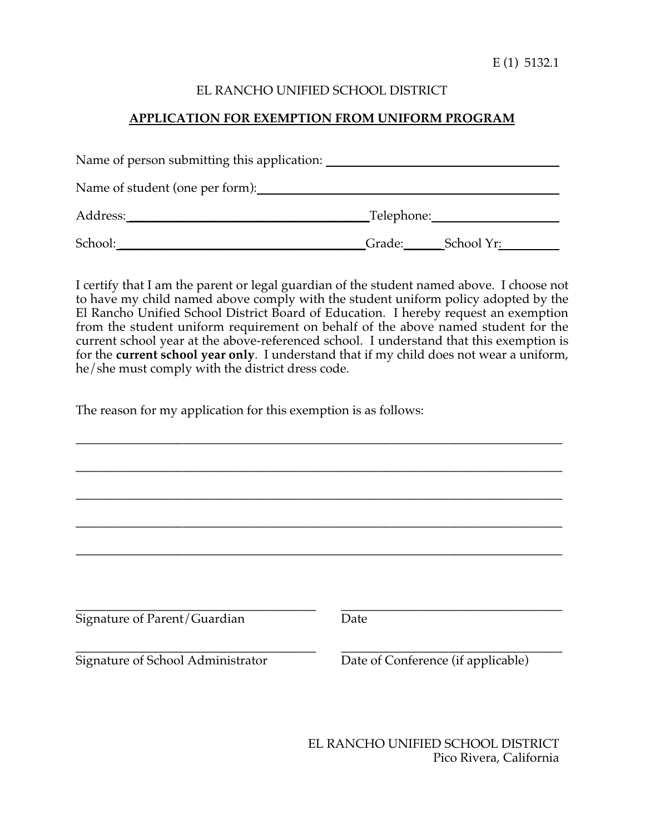E (1) 5132.1

# EL RANCHO UNIFIED SCHOOL DISTRICT

# **APPLICATION FOR EXEMPTION FROM UNIFORM PROGRAM**

| Name of person submitting this application: |            |            |
|---------------------------------------------|------------|------------|
| Name of student (one per form):             |            |            |
| Address:                                    | Telephone: |            |
| School:                                     | Grade:     | School Yr: |

I certify that I am the parent or legal guardian of the student named above. I choose not to have my child named above comply with the student uniform policy adopted by the El Rancho Unified School District Board of Education. I hereby request an exemption from the student uniform requirement on behalf of the above named student for the current school year at the above-referenced school. I understand that this exemption is for the **current school year only**. I understand that if my child does not wear a uniform, he/she must comply with the district dress code.

\_\_\_\_\_\_\_\_\_\_\_\_\_\_\_\_\_\_\_\_\_\_\_\_\_\_\_\_\_\_\_\_\_\_\_\_\_\_\_\_\_\_\_\_\_\_\_\_\_\_\_\_\_\_\_\_\_\_\_\_\_\_\_\_\_\_\_\_\_\_\_\_\_\_\_\_\_

The reason for my application for this exemption is as follows:

| Signature of Parent/Guardian      | Date                               |
|-----------------------------------|------------------------------------|
|                                   |                                    |
| Signature of School Administrator | Date of Conference (if applicable) |
|                                   |                                    |
|                                   |                                    |

EL RANCHO UNIFIED SCHOOL DISTRICT Pico Rivera, California